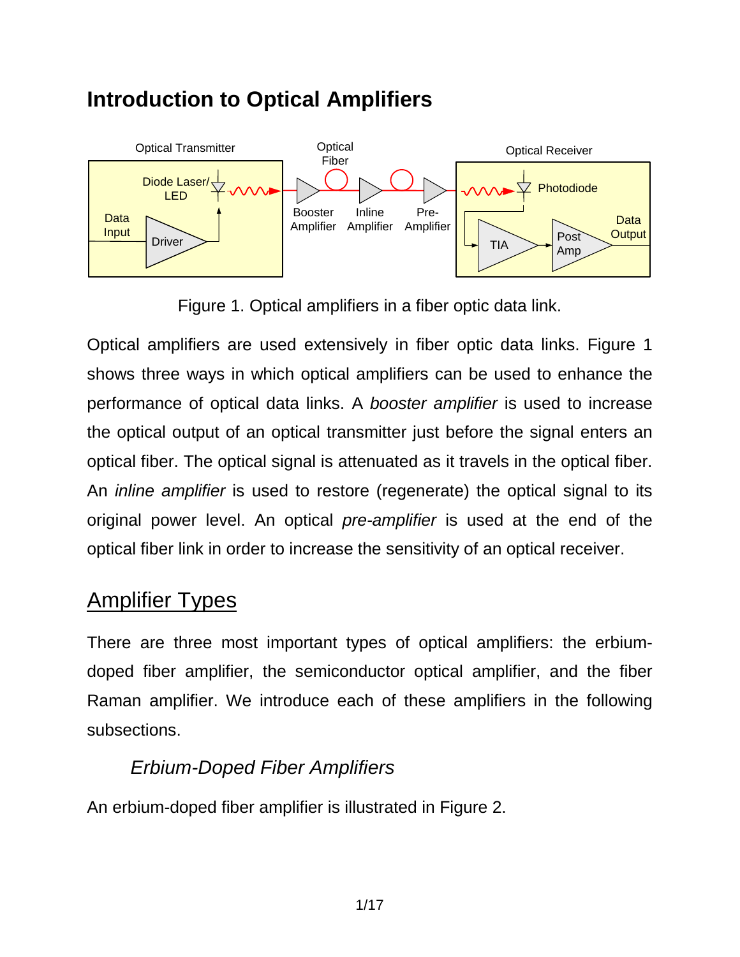# **Introduction to Optical Amplifiers**



Figure 1. Optical amplifiers in a fiber optic data link.

Optical amplifiers are used extensively in fiber optic data links. Figure 1 shows three ways in which optical amplifiers can be used to enhance the performance of optical data links. A *booster amplifier* is used to increase the optical output of an optical transmitter just before the signal enters an optical fiber. The optical signal is attenuated as it travels in the optical fiber. An *inline amplifier* is used to restore (regenerate) the optical signal to its original power level. An optical *pre-amplifier* is used at the end of the optical fiber link in order to increase the sensitivity of an optical receiver.

## Amplifier Types

There are three most important types of optical amplifiers: the erbiumdoped fiber amplifier, the semiconductor optical amplifier, and the fiber Raman amplifier. We introduce each of these amplifiers in the following subsections.

### *Erbium-Doped Fiber Amplifiers*

An erbium-doped fiber amplifier is illustrated in Figure 2.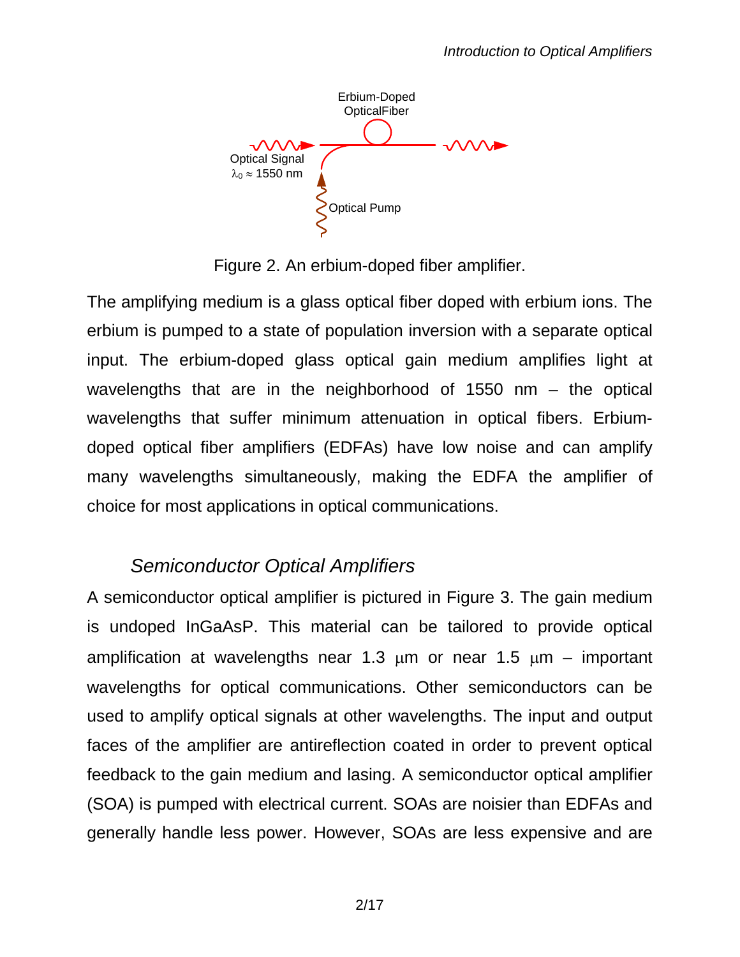Erbium-Doped **OpticalFiber**  $VV$ Optical Signal  $λ_0 \approx 1550$  nm Optical Pump

Figure 2. An erbium-doped fiber amplifier.

The amplifying medium is a glass optical fiber doped with erbium ions. The erbium is pumped to a state of population inversion with a separate optical input. The erbium-doped glass optical gain medium amplifies light at wavelengths that are in the neighborhood of 1550 nm – the optical wavelengths that suffer minimum attenuation in optical fibers. Erbiumdoped optical fiber amplifiers (EDFAs) have low noise and can amplify many wavelengths simultaneously, making the EDFA the amplifier of choice for most applications in optical communications.

### *Semiconductor Optical Amplifiers*

A semiconductor optical amplifier is pictured in Figure 3. The gain medium is undoped InGaAsP. This material can be tailored to provide optical amplification at wavelengths near 1.3  $\mu$ m or near 1.5  $\mu$ m – important wavelengths for optical communications. Other semiconductors can be used to amplify optical signals at other wavelengths. The input and output faces of the amplifier are antireflection coated in order to prevent optical feedback to the gain medium and lasing. A semiconductor optical amplifier (SOA) is pumped with electrical current. SOAs are noisier than EDFAs and generally handle less power. However, SOAs are less expensive and are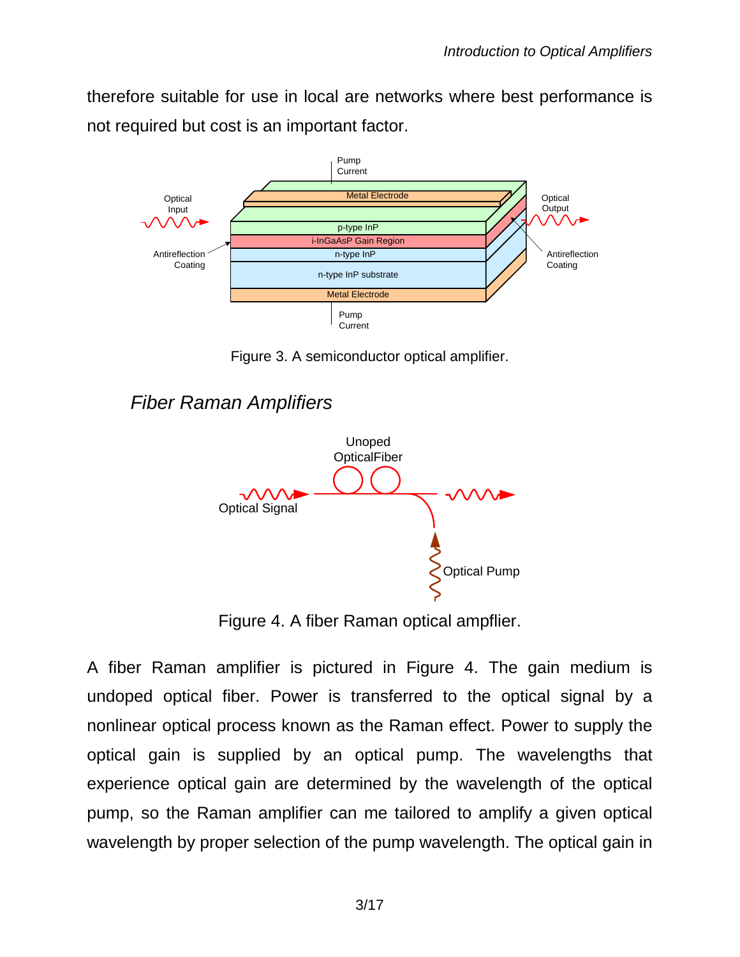therefore suitable for use in local are networks where best performance is not required but cost is an important factor.



Figure 3. A semiconductor optical amplifier.

#### *Fiber Raman Amplifiers*



Figure 4. A fiber Raman optical ampflier.

A fiber Raman amplifier is pictured in Figure 4. The gain medium is undoped optical fiber. Power is transferred to the optical signal by a nonlinear optical process known as the Raman effect. Power to supply the optical gain is supplied by an optical pump. The wavelengths that experience optical gain are determined by the wavelength of the optical pump, so the Raman amplifier can me tailored to amplify a given optical wavelength by proper selection of the pump wavelength. The optical gain in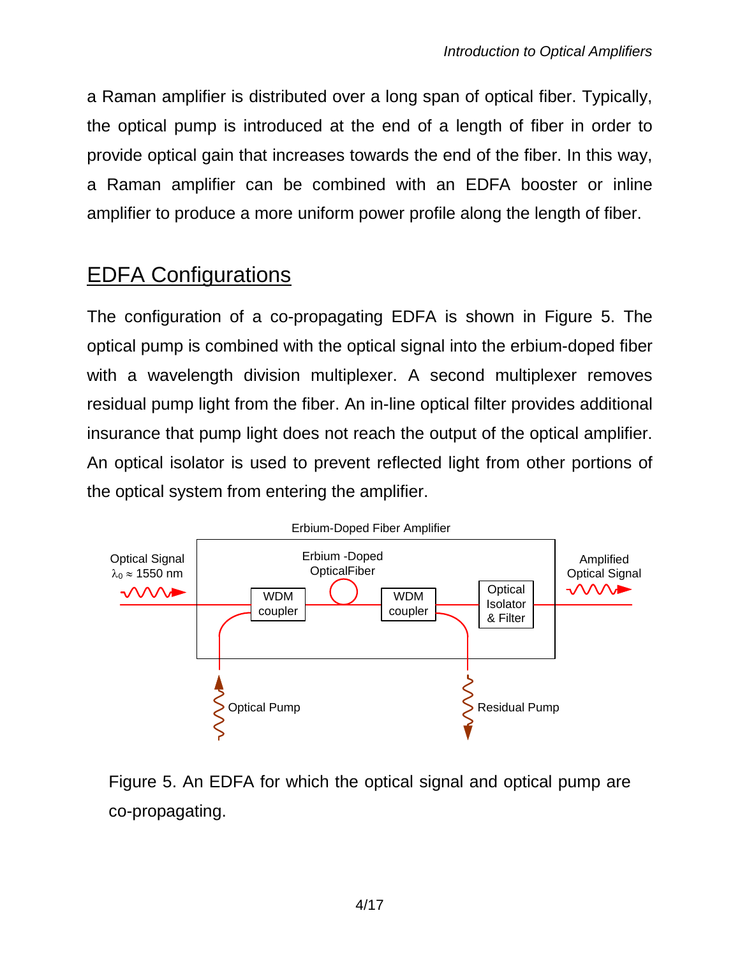a Raman amplifier is distributed over a long span of optical fiber. Typically, the optical pump is introduced at the end of a length of fiber in order to provide optical gain that increases towards the end of the fiber. In this way, a Raman amplifier can be combined with an EDFA booster or inline amplifier to produce a more uniform power profile along the length of fiber.

# EDFA Configurations

The configuration of a co-propagating EDFA is shown in Figure 5. The optical pump is combined with the optical signal into the erbium-doped fiber with a wavelength division multiplexer. A second multiplexer removes residual pump light from the fiber. An in-line optical filter provides additional insurance that pump light does not reach the output of the optical amplifier. An optical isolator is used to prevent reflected light from other portions of the optical system from entering the amplifier.



Figure 5. An EDFA for which the optical signal and optical pump are co-propagating.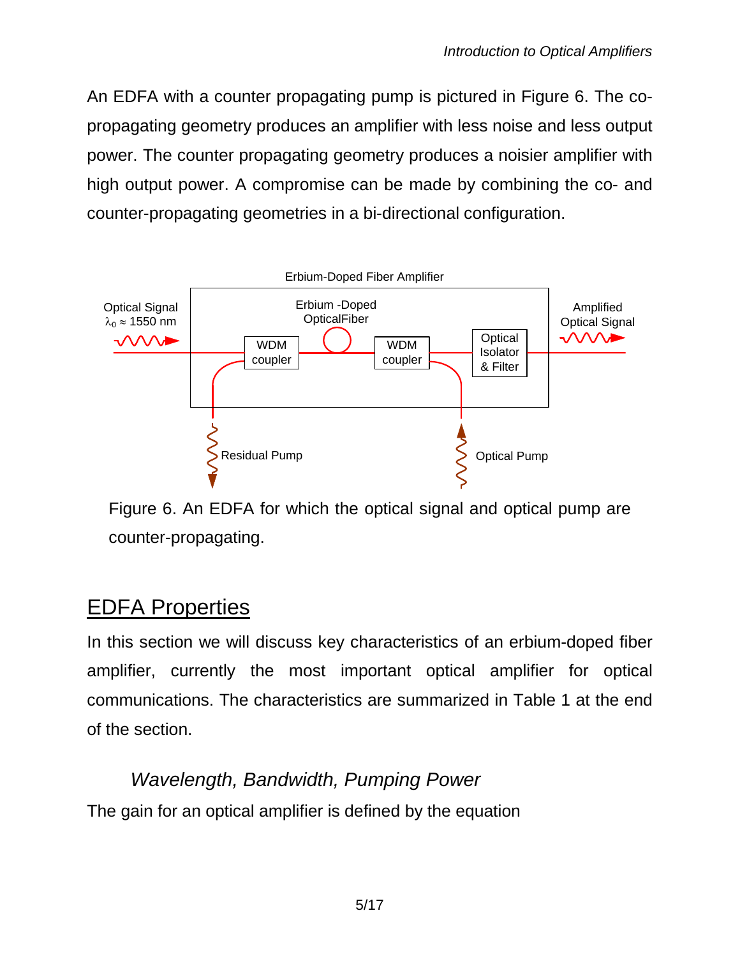An EDFA with a counter propagating pump is pictured in Figure 6. The copropagating geometry produces an amplifier with less noise and less output power. The counter propagating geometry produces a noisier amplifier with high output power. A compromise can be made by combining the co- and counter-propagating geometries in a bi-directional configuration.



Figure 6. An EDFA for which the optical signal and optical pump are counter-propagating.

# EDFA Properties

In this section we will discuss key characteristics of an erbium-doped fiber amplifier, currently the most important optical amplifier for optical communications. The characteristics are summarized in Table 1 at the end of the section.

## *Wavelength, Bandwidth, Pumping Power* The gain for an optical amplifier is defined by the equation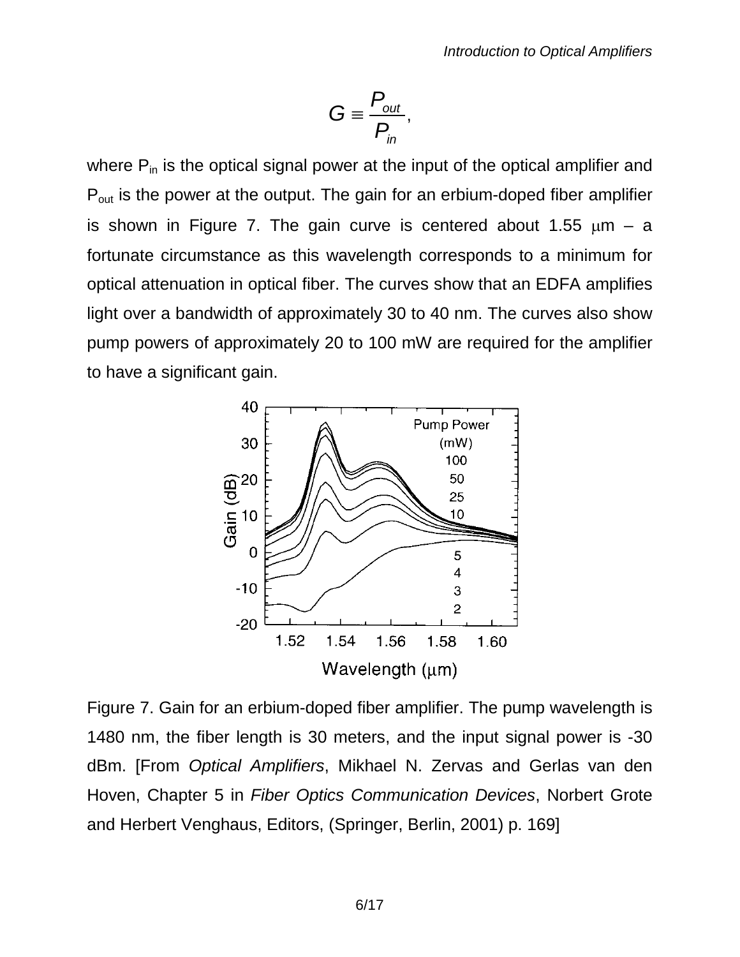$$
G \equiv \frac{P_{out}}{P_{in}},
$$

where  $P_{in}$  is the optical signal power at the input of the optical amplifier and P<sub>out</sub> is the power at the output. The gain for an erbium-doped fiber amplifier is shown in Figure 7. The gain curve is centered about 1.55  $\mu$ m – a fortunate circumstance as this wavelength corresponds to a minimum for optical attenuation in optical fiber. The curves show that an EDFA amplifies light over a bandwidth of approximately 30 to 40 nm. The curves also show pump powers of approximately 20 to 100 mW are required for the amplifier to have a significant gain.



Figure 7. Gain for an erbium-doped fiber amplifier. The pump wavelength is 1480 nm, the fiber length is 30 meters, and the input signal power is -30 dBm. [From *Optical Amplifiers*, Mikhael N. Zervas and Gerlas van den Hoven, Chapter 5 in *Fiber Optics Communication Devices*, Norbert Grote and Herbert Venghaus, Editors, (Springer, Berlin, 2001) p. 169]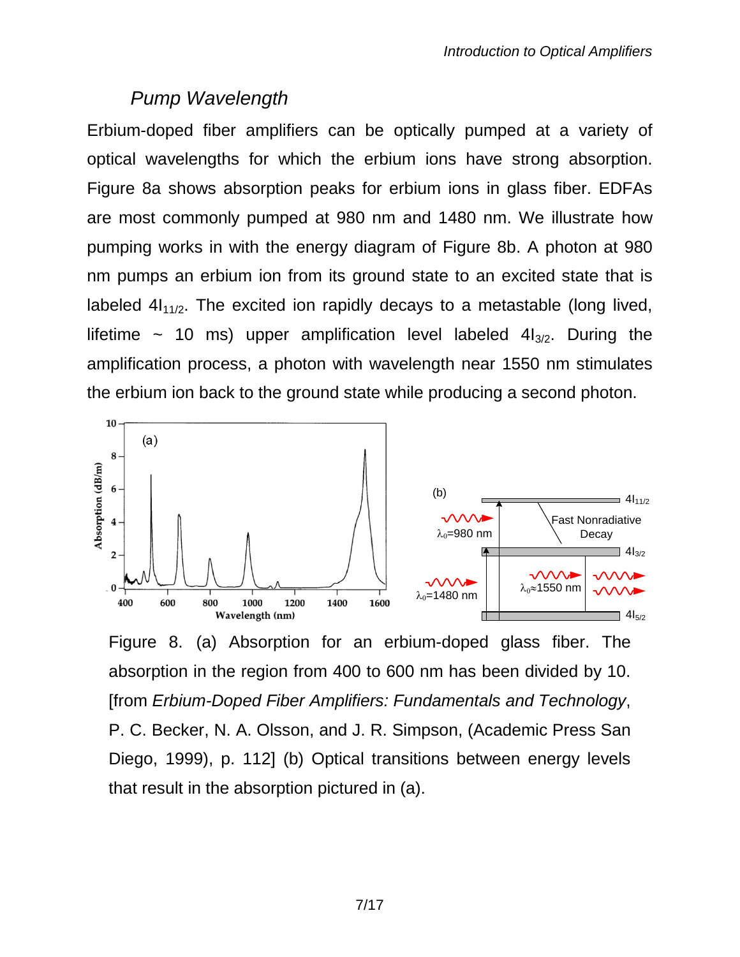### *Pump Wavelength*

Erbium-doped fiber amplifiers can be optically pumped at a variety of optical wavelengths for which the erbium ions have strong absorption. Figure 8a shows absorption peaks for erbium ions in glass fiber. EDFAs are most commonly pumped at 980 nm and 1480 nm. We illustrate how pumping works in with the energy diagram of Figure 8b. A photon at 980 nm pumps an erbium ion from its ground state to an excited state that is labeled  $4I_{11/2}$ . The excited ion rapidly decays to a metastable (long lived, lifetime  $\sim$  10 ms) upper amplification level labeled  $4I_{3/2}$ . During the amplification process, a photon with wavelength near 1550 nm stimulates the erbium ion back to the ground state while producing a second photon.



Figure 8. (a) Absorption for an erbium-doped glass fiber. The absorption in the region from 400 to 600 nm has been divided by 10. [from *Erbium-Doped Fiber Amplifiers: Fundamentals and Technology*, P. C. Becker, N. A. Olsson, and J. R. Simpson, (Academic Press San Diego, 1999), p. 112] (b) Optical transitions between energy levels that result in the absorption pictured in (a).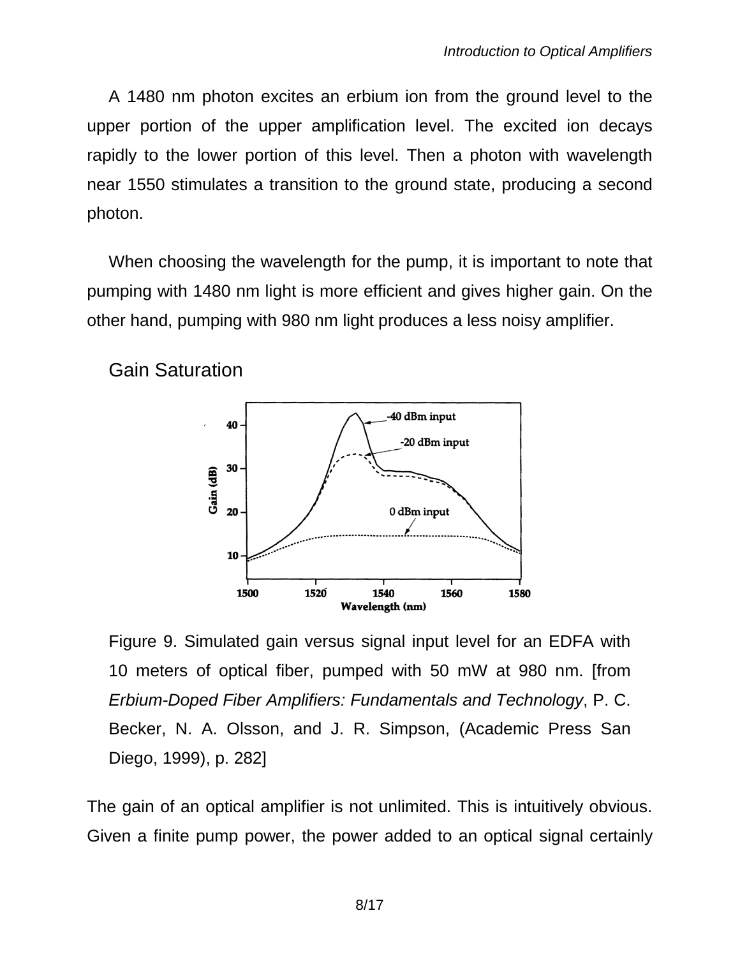A 1480 nm photon excites an erbium ion from the ground level to the upper portion of the upper amplification level. The excited ion decays rapidly to the lower portion of this level. Then a photon with wavelength near 1550 stimulates a transition to the ground state, producing a second photon.

When choosing the wavelength for the pump, it is important to note that pumping with 1480 nm light is more efficient and gives higher gain. On the other hand, pumping with 980 nm light produces a less noisy amplifier.

Gain Saturation



Figure 9. Simulated gain versus signal input level for an EDFA with 10 meters of optical fiber, pumped with 50 mW at 980 nm. [from *Erbium-Doped Fiber Amplifiers: Fundamentals and Technology*, P. C. Becker, N. A. Olsson, and J. R. Simpson, (Academic Press San Diego, 1999), p. 282]

The gain of an optical amplifier is not unlimited. This is intuitively obvious. Given a finite pump power, the power added to an optical signal certainly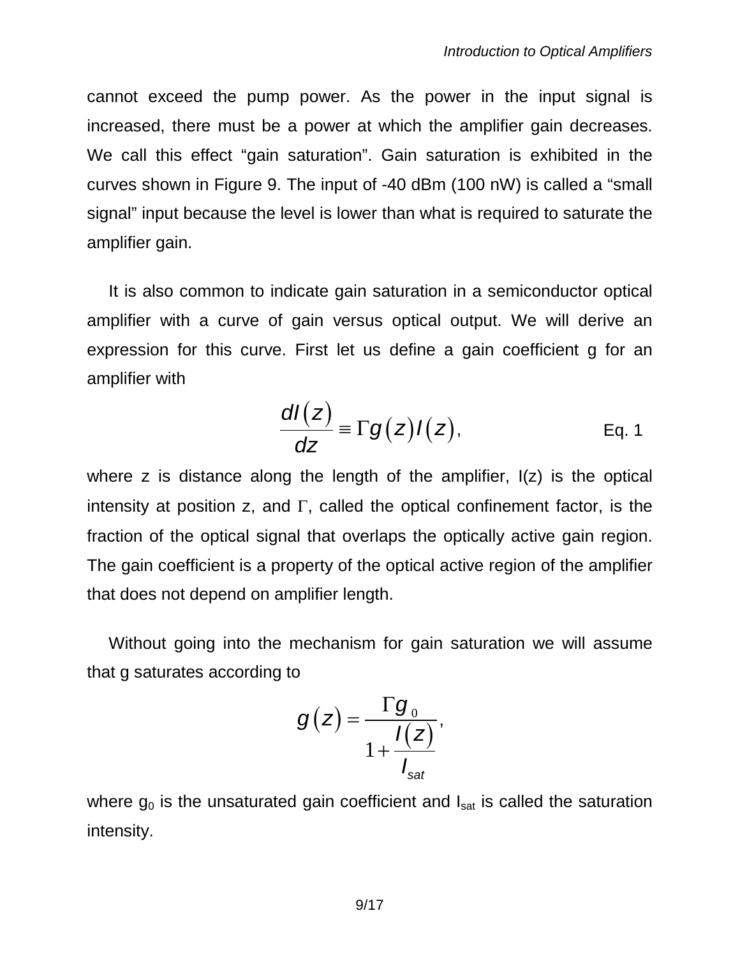cannot exceed the pump power. As the power in the input signal is increased, there must be a power at which the amplifier gain decreases. We call this effect "gain saturation". Gain saturation is exhibited in the curves shown in Figure 9. The input of -40 dBm (100 nW) is called a "small signal" input because the level is lower than what is required to saturate the amplifier gain.

It is also common to indicate gain saturation in a semiconductor optical amplifier with a curve of gain versus optical output. We will derive an expression for this curve. First let us define a gain coefficient g for an amplifier with

$$
\frac{dI(z)}{dz} \equiv \Gamma g(z)I(z),
$$
 Eq. 1

where z is distance along the length of the amplifier, I(z) is the optical intensity at position z, and  $\Gamma$ , called the optical confinement factor, is the fraction of the optical signal that overlaps the optically active gain region. The gain coefficient is a property of the optical active region of the amplifier that does not depend on amplifier length.

Without going into the mechanism for gain saturation we will assume that g saturates according to

$$
g(z) = \frac{\Gamma g_0}{1 + \frac{I(z)}{I_{\text{sat}}}},
$$

where  $g_0$  is the unsaturated gain coefficient and  $I_{sat}$  is called the saturation intensity.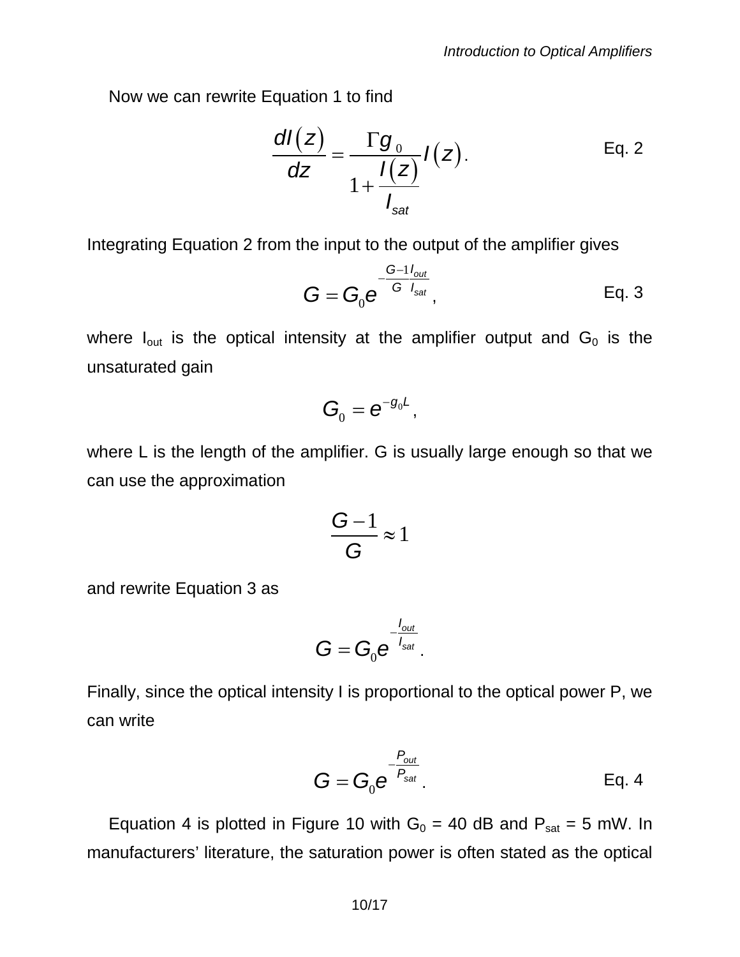Now we can rewrite Equation 1 to find

$$
\frac{dI(z)}{dz} = \frac{\Gamma g_0}{1 + \frac{I(z)}{I_{\text{sat}}}} I(z).
$$
 Eq. 2

Integrating Equation 2 from the input to the output of the amplifier gives

$$
G = G_0 e^{\frac{G-1 I_{out}}{G I_{sat}}},
$$
 Eq. 3

where  $I_{out}$  is the optical intensity at the amplifier output and  $G_0$  is the unsaturated gain

$$
\boldsymbol{G}_{_{\!0}}=\boldsymbol{e}^{-g_{_{0}}\boldsymbol{L}},
$$

where L is the length of the amplifier. G is usually large enough so that we can use the approximation

$$
\frac{G-1}{G}\approx 1
$$

and rewrite Equation 3 as

$$
G=G_0e^{-\frac{l_{out}}{l_{sat}}}.
$$

Finally, since the optical intensity I is proportional to the optical power P, we can write

$$
G = G_0 e^{-\frac{P_{out}}{P_{sat}}}.
$$
 Eq. 4

Equation 4 is plotted in Figure 10 with  $G_0 = 40$  dB and  $P_{sat} = 5$  mW. In manufacturers' literature, the saturation power is often stated as the optical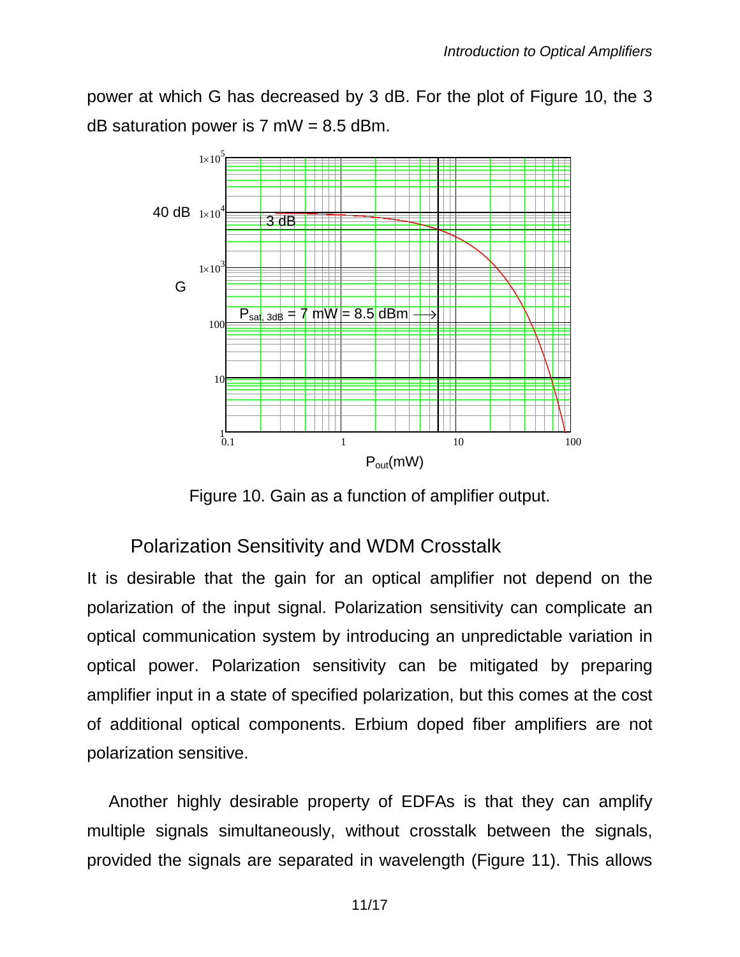power at which G has decreased by 3 dB. For the plot of Figure 10, the 3 dB saturation power is  $7 \text{ mW} = 8.5 \text{ dBm}$ .



Figure 10. Gain as a function of amplifier output.

### Polarization Sensitivity and WDM Crosstalk

It is desirable that the gain for an optical amplifier not depend on the polarization of the input signal. Polarization sensitivity can complicate an optical communication system by introducing an unpredictable variation in optical power. Polarization sensitivity can be mitigated by preparing amplifier input in a state of specified polarization, but this comes at the cost of additional optical components. Erbium doped fiber amplifiers are not polarization sensitive.

Another highly desirable property of EDFAs is that they can amplify multiple signals simultaneously, without crosstalk between the signals, provided the signals are separated in wavelength (Figure 11). This allows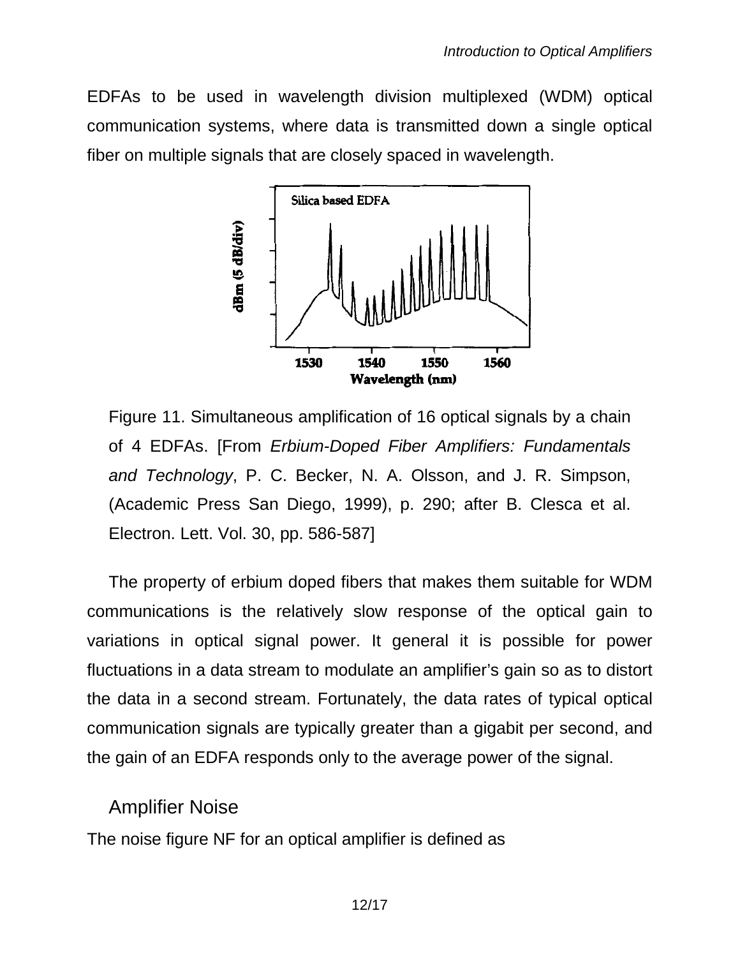EDFAs to be used in wavelength division multiplexed (WDM) optical communication systems, where data is transmitted down a single optical fiber on multiple signals that are closely spaced in wavelength.



Figure 11. Simultaneous amplification of 16 optical signals by a chain of 4 EDFAs. [From *Erbium-Doped Fiber Amplifiers: Fundamentals and Technology*, P. C. Becker, N. A. Olsson, and J. R. Simpson, (Academic Press San Diego, 1999), p. 290; after B. Clesca et al. Electron. Lett. Vol. 30, pp. 586-587]

The property of erbium doped fibers that makes them suitable for WDM communications is the relatively slow response of the optical gain to variations in optical signal power. It general it is possible for power fluctuations in a data stream to modulate an amplifier's gain so as to distort the data in a second stream. Fortunately, the data rates of typical optical communication signals are typically greater than a gigabit per second, and the gain of an EDFA responds only to the average power of the signal.

#### Amplifier Noise

The noise figure NF for an optical amplifier is defined as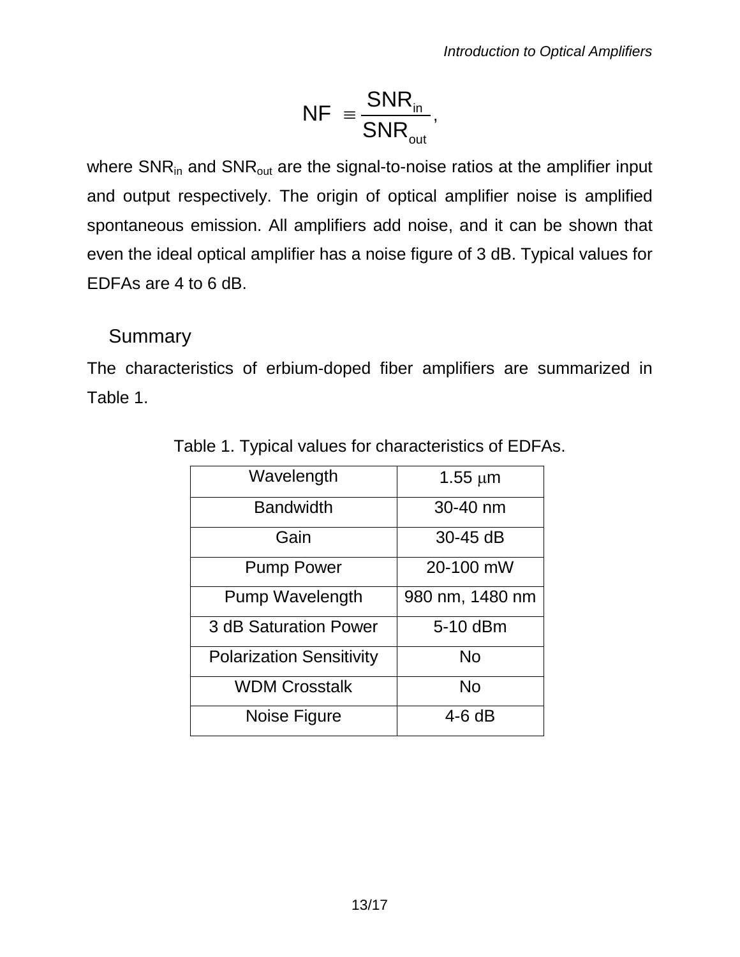$$
NF = \frac{SNR_{in}}{SNR_{out}},
$$

where  $SNR_{in}$  and  $SNR_{out}$  are the signal-to-noise ratios at the amplifier input and output respectively. The origin of optical amplifier noise is amplified spontaneous emission. All amplifiers add noise, and it can be shown that even the ideal optical amplifier has a noise figure of 3 dB. Typical values for EDFAs are 4 to 6 dB.

### Summary

The characteristics of erbium-doped fiber amplifiers are summarized in Table 1.

| Wavelength                      | $1.55 \mu m$    |
|---------------------------------|-----------------|
| <b>Bandwidth</b>                | 30-40 nm        |
| Gain                            | 30-45 dB        |
| <b>Pump Power</b>               | 20-100 mW       |
| <b>Pump Wavelength</b>          | 980 nm, 1480 nm |
| 3 dB Saturation Power           | 5-10 dBm        |
| <b>Polarization Sensitivity</b> | <b>No</b>       |
| <b>WDM Crosstalk</b>            | <b>No</b>       |
| Noise Figure                    | 4-6 dB          |

Table 1. Typical values for characteristics of EDFAs.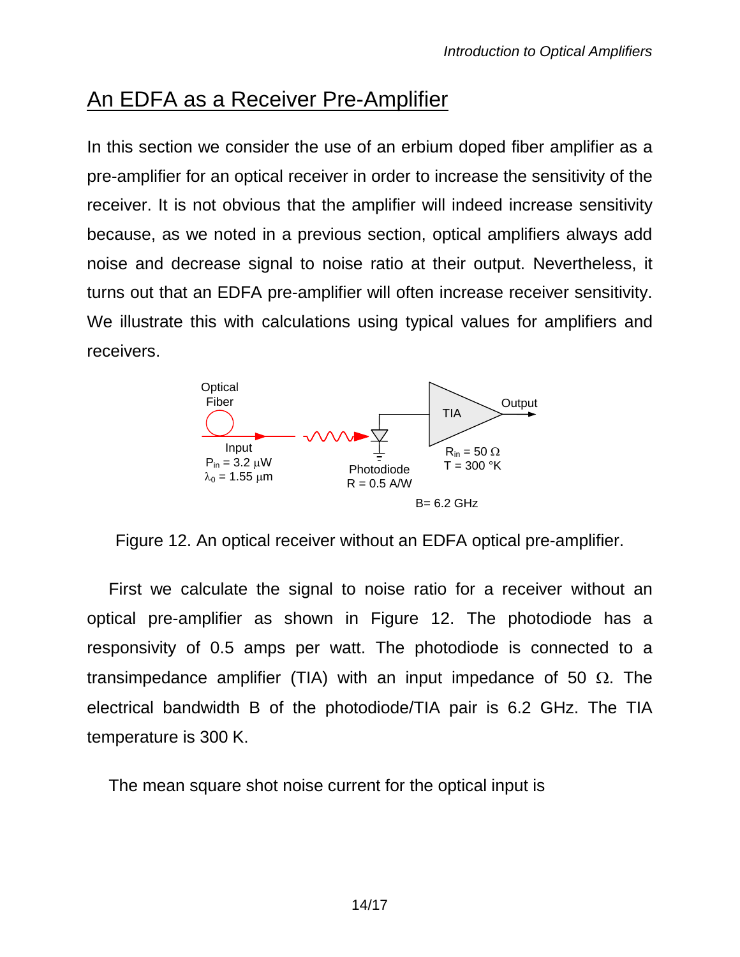# An EDFA as a Receiver Pre-Amplifier

In this section we consider the use of an erbium doped fiber amplifier as a pre-amplifier for an optical receiver in order to increase the sensitivity of the receiver. It is not obvious that the amplifier will indeed increase sensitivity because, as we noted in a previous section, optical amplifiers always add noise and decrease signal to noise ratio at their output. Nevertheless, it turns out that an EDFA pre-amplifier will often increase receiver sensitivity. We illustrate this with calculations using typical values for amplifiers and receivers.



Figure 12. An optical receiver without an EDFA optical pre-amplifier.

First we calculate the signal to noise ratio for a receiver without an optical pre-amplifier as shown in Figure 12. The photodiode has a responsivity of 0.5 amps per watt. The photodiode is connected to a transimpedance amplifier (TIA) with an input impedance of 50  $\Omega$ . The electrical bandwidth B of the photodiode/TIA pair is 6.2 GHz. The TIA temperature is 300 K.

The mean square shot noise current for the optical input is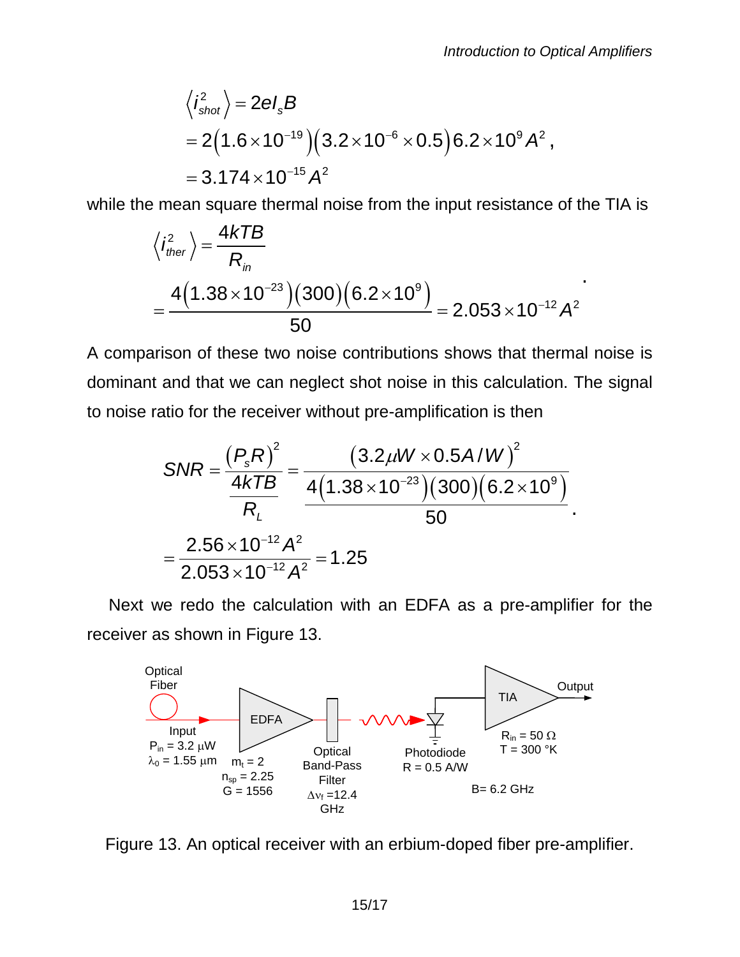$$
\langle i_{\text{shot}}^2 \rangle = 2eI_sB
$$
  
= 2(1.6×10<sup>-19</sup>)(3.2×10<sup>-6</sup>×0.5)6.2×10<sup>9</sup>A<sup>2</sup>,  
= 3.174×10<sup>-15</sup>A<sup>2</sup>

while the mean square thermal noise from the input resistance of the TIA is

$$
\langle i_{ther}^2 \rangle = \frac{4kTB}{R_{in}}
$$
  
= 
$$
\frac{4(1.38 \times 10^{-23})(300)(6.2 \times 10^9)}{50} = 2.053 \times 10^{-12} A^2
$$

A comparison of these two noise contributions shows that thermal noise is dominant and that we can neglect shot noise in this calculation. The signal to noise ratio for the receiver without pre-amplification is then

$$
SNR = \frac{(P_s R)^2}{\frac{4kTB}{R_L}} = \frac{(3.2 \mu W \times 0.5 A/W)^2}{4(1.38 \times 10^{-23})(300)(6.2 \times 10^9)}
$$

$$
= \frac{2.56 \times 10^{-12} A^2}{2.053 \times 10^{-12} A^2} = 1.25
$$

Next we redo the calculation with an EDFA as a pre-amplifier for the receiver as shown in Figure 13.



Figure 13. An optical receiver with an erbium-doped fiber pre-amplifier.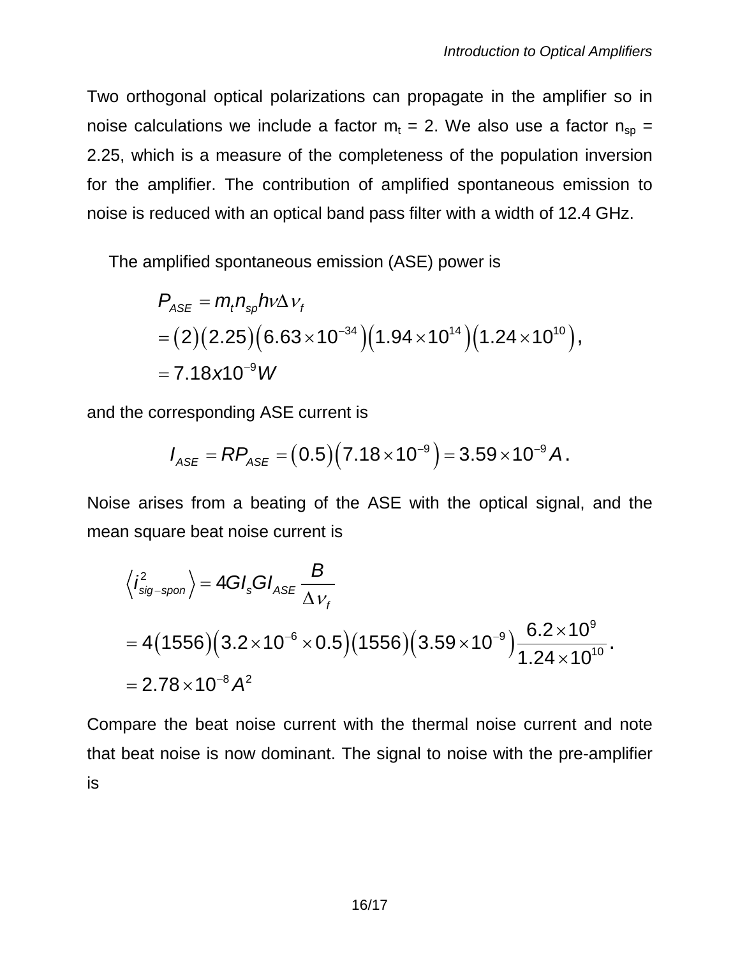Two orthogonal optical polarizations can propagate in the amplifier so in noise calculations we include a factor  $m_t = 2$ . We also use a factor  $n_{\rm SD} =$ 2.25, which is a measure of the completeness of the population inversion for the amplifier. The contribution of amplified spontaneous emission to noise is reduced with an optical band pass filter with a width of 12.4 GHz.

The amplified spontaneous emission (ASE) power is

$$
P_{\text{ASE}} = m_{t} n_{\text{sp}} h v \Delta v_{t}
$$
  
= (2)(2.25) (6.63 × 10<sup>-34</sup>) (1.94 × 10<sup>14</sup>) (1.24 × 10<sup>10</sup>),  
= 7.18 x 10<sup>-9</sup> W

and the corresponding ASE current is

$$
I_{\text{ASE}} = \text{RP}_{\text{ASE}} = (0.5)(7.18 \times 10^{-9}) = 3.59 \times 10^{-9} \text{ A}.
$$

Noise arises from a beating of the ASE with the optical signal, and the mean square beat noise current is

$$
\langle i_{\text{sig-spon}}^2 \rangle = 4GI_sGI_{ASE} \frac{B}{\Delta v_f}
$$
  
= 4(1556)(3.2×10<sup>-6</sup>×0.5)(1556)(3.59×10<sup>-9</sup>) $\frac{6.2×10^9}{1.24×10^{10}}$ .  
= 2.78×10<sup>-8</sup> A<sup>2</sup>

Compare the beat noise current with the thermal noise current and note that beat noise is now dominant. The signal to noise with the pre-amplifier is